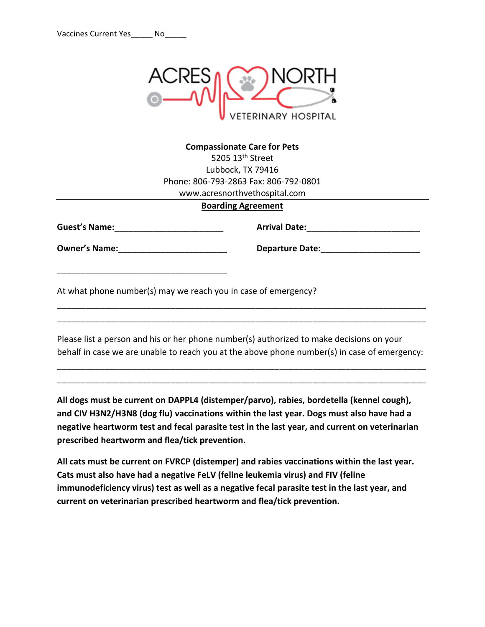

## **Compassionate Care for Pets** 5205 13<sup>th</sup> Street Lubbock, TX 79416 Phone: 806-793-2863 Fax: 806-792-0801 www.acresnorthvethospital.com

## **Boarding Agreement**

**Guest's Name:**\_\_\_\_\_\_\_\_\_\_\_\_\_\_\_\_\_\_\_\_\_\_\_

\_\_\_\_\_\_\_\_\_\_\_\_\_\_\_\_\_\_\_\_\_\_\_\_\_\_\_\_\_\_\_\_\_\_\_\_

**Owner's Name:**\_\_\_\_\_\_\_\_\_\_\_\_\_\_\_\_\_\_\_\_\_\_\_

**Arrival Date:**\_\_\_\_\_\_\_\_\_\_\_\_\_\_\_\_\_\_\_\_\_\_\_\_

**Departure Date:**\_\_\_\_\_\_\_\_\_\_\_\_\_\_\_\_\_\_\_\_\_

At what phone number(s) may we reach you in case of emergency?

Please list a person and his or her phone number(s) authorized to make decisions on your behalf in case we are unable to reach you at the above phone number(s) in case of emergency:

\_\_\_\_\_\_\_\_\_\_\_\_\_\_\_\_\_\_\_\_\_\_\_\_\_\_\_\_\_\_\_\_\_\_\_\_\_\_\_\_\_\_\_\_\_\_\_\_\_\_\_\_\_\_\_\_\_\_\_\_\_\_\_\_\_\_\_\_\_\_\_\_\_\_\_\_\_\_ \_\_\_\_\_\_\_\_\_\_\_\_\_\_\_\_\_\_\_\_\_\_\_\_\_\_\_\_\_\_\_\_\_\_\_\_\_\_\_\_\_\_\_\_\_\_\_\_\_\_\_\_\_\_\_\_\_\_\_\_\_\_\_\_\_\_\_\_\_\_\_\_\_\_\_\_\_\_

\_\_\_\_\_\_\_\_\_\_\_\_\_\_\_\_\_\_\_\_\_\_\_\_\_\_\_\_\_\_\_\_\_\_\_\_\_\_\_\_\_\_\_\_\_\_\_\_\_\_\_\_\_\_\_\_\_\_\_\_\_\_\_\_\_\_\_\_\_\_\_\_\_\_\_\_\_\_ \_\_\_\_\_\_\_\_\_\_\_\_\_\_\_\_\_\_\_\_\_\_\_\_\_\_\_\_\_\_\_\_\_\_\_\_\_\_\_\_\_\_\_\_\_\_\_\_\_\_\_\_\_\_\_\_\_\_\_\_\_\_\_\_\_\_\_\_\_\_\_\_\_\_\_\_\_\_

**All dogs must be current on DAPPL4 (distemper/parvo), rabies, bordetella (kennel cough), and CIV H3N2/H3N8 (dog flu) vaccinations within the last year. Dogs must also have had a negative heartworm test and fecal parasite test in the last year, and current on veterinarian prescribed heartworm and flea/tick prevention.**

**All cats must be current on FVRCP (distemper) and rabies vaccinations within the last year. Cats must also have had a negative FeLV (feline leukemia virus) and FIV (feline immunodeficiency virus) test as well as a negative fecal parasite test in the last year, and current on veterinarian prescribed heartworm and flea/tick prevention.**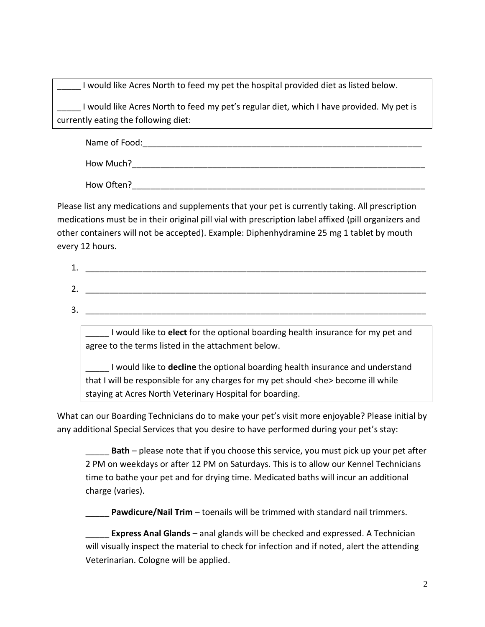I would like Acres North to feed my pet the hospital provided diet as listed below.

I would like Acres North to feed my pet's regular diet, which I have provided. My pet is currently eating the following diet:

Name of Food:\_\_\_\_\_\_\_\_\_\_\_\_\_\_\_\_\_\_\_\_\_\_\_\_\_\_\_\_\_\_\_\_\_\_\_\_\_\_\_\_\_\_\_\_\_\_\_\_\_\_\_\_\_\_\_\_\_\_\_ How Much?

How Often?\_\_\_\_\_\_\_\_\_\_\_\_\_\_\_\_\_\_\_\_\_\_\_\_\_\_\_\_\_\_\_\_\_\_\_\_\_\_\_\_\_\_\_\_\_\_\_\_\_\_\_\_\_\_\_\_\_\_\_\_\_\_

Please list any medications and supplements that your pet is currently taking. All prescription medications must be in their original pill vial with prescription label affixed (pill organizers and other containers will not be accepted). Example: Diphenhydramine 25 mg 1 tablet by mouth every 12 hours.

| ∸        |  |  |
|----------|--|--|
| ∽<br>. ـ |  |  |
| ⌒<br>ັ   |  |  |

\_\_\_\_\_ I would like to **elect** for the optional boarding health insurance for my pet and agree to the terms listed in the attachment below.

\_\_\_\_\_ I would like to **decline** the optional boarding health insurance and understand that I will be responsible for any charges for my pet should <he> become ill while staying at Acres North Veterinary Hospital for boarding.

What can our Boarding Technicians do to make your pet's visit more enjoyable? Please initial by any additional Special Services that you desire to have performed during your pet's stay:

\_\_\_\_\_ **Bath** – please note that if you choose this service, you must pick up your pet after 2 PM on weekdays or after 12 PM on Saturdays. This is to allow our Kennel Technicians time to bathe your pet and for drying time. Medicated baths will incur an additional charge (varies).

**Pawdicure/Nail Trim** – toenails will be trimmed with standard nail trimmers.

**Express Anal Glands** – anal glands will be checked and expressed. A Technician will visually inspect the material to check for infection and if noted, alert the attending Veterinarian. Cologne will be applied.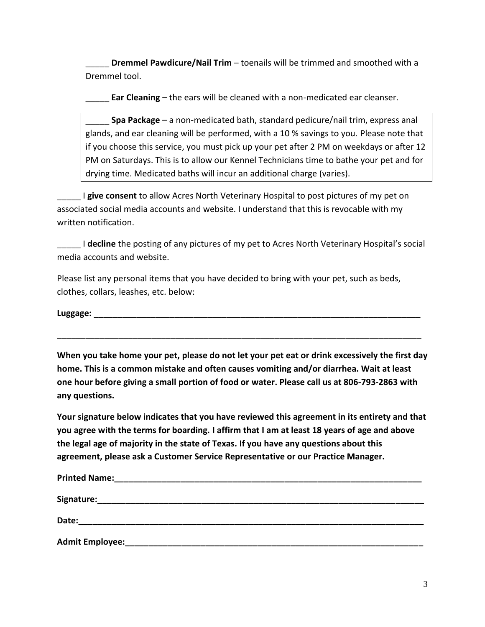**Dremmel Pawdicure/Nail Trim** – toenails will be trimmed and smoothed with a Dremmel tool.

**Ear Cleaning** – the ears will be cleaned with a non-medicated ear cleanser.

\_\_\_\_\_ **Spa Package** – a non-medicated bath, standard pedicure/nail trim, express anal glands, and ear cleaning will be performed, with a 10 % savings to you. Please note that if you choose this service, you must pick up your pet after 2 PM on weekdays or after 12 PM on Saturdays. This is to allow our Kennel Technicians time to bathe your pet and for drying time. Medicated baths will incur an additional charge (varies).

I give consent to allow Acres North Veterinary Hospital to post pictures of my pet on associated social media accounts and website. I understand that this is revocable with my written notification.

\_\_\_\_\_ I **decline** the posting of any pictures of my pet to Acres North Veterinary Hospital's social media accounts and website.

Please list any personal items that you have decided to bring with your pet, such as beds, clothes, collars, leashes, etc. below:

Luggage:

**When you take home your pet, please do not let your pet eat or drink excessively the first day home. This is a common mistake and often causes vomiting and/or diarrhea. Wait at least one hour before giving a small portion of food or water. Please call us at 806-793-2863 with any questions.**

\_\_\_\_\_\_\_\_\_\_\_\_\_\_\_\_\_\_\_\_\_\_\_\_\_\_\_\_\_\_\_\_\_\_\_\_\_\_\_\_\_\_\_\_\_\_\_\_\_\_\_\_\_\_\_\_\_\_\_\_\_\_\_\_\_\_\_\_\_\_\_\_\_\_\_\_\_

**Your signature below indicates that you have reviewed this agreement in its entirety and that you agree with the terms for boarding. I affirm that I am at least 18 years of age and above the legal age of majority in the state of Texas. If you have any questions about this agreement, please ask a Customer Service Representative or our Practice Manager.**

| <b>Printed Name:</b>   | <u> 2001 - An t-Alban Alban (b. 1982)</u> |  |
|------------------------|-------------------------------------------|--|
| Signature:             |                                           |  |
| Date:                  |                                           |  |
| <b>Admit Employee:</b> |                                           |  |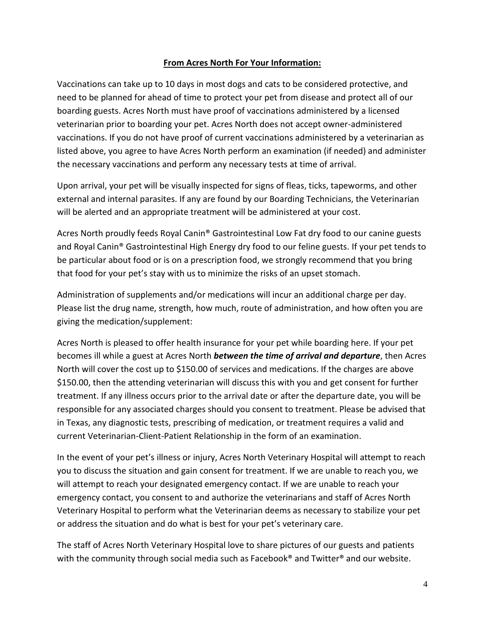## **From Acres North For Your Information:**

Vaccinations can take up to 10 days in most dogs and cats to be considered protective, and need to be planned for ahead of time to protect your pet from disease and protect all of our boarding guests. Acres North must have proof of vaccinations administered by a licensed veterinarian prior to boarding your pet. Acres North does not accept owner-administered vaccinations. If you do not have proof of current vaccinations administered by a veterinarian as listed above, you agree to have Acres North perform an examination (if needed) and administer the necessary vaccinations and perform any necessary tests at time of arrival.

Upon arrival, your pet will be visually inspected for signs of fleas, ticks, tapeworms, and other external and internal parasites. If any are found by our Boarding Technicians, the Veterinarian will be alerted and an appropriate treatment will be administered at your cost.

Acres North proudly feeds Royal Canin® Gastrointestinal Low Fat dry food to our canine guests and Royal Canin® Gastrointestinal High Energy dry food to our feline guests. If your pet tends to be particular about food or is on a prescription food, we strongly recommend that you bring that food for your pet's stay with us to minimize the risks of an upset stomach.

Administration of supplements and/or medications will incur an additional charge per day. Please list the drug name, strength, how much, route of administration, and how often you are giving the medication/supplement:

Acres North is pleased to offer health insurance for your pet while boarding here. If your pet becomes ill while a guest at Acres North *between the time of arrival and departure*, then Acres North will cover the cost up to \$150.00 of services and medications. If the charges are above \$150.00, then the attending veterinarian will discuss this with you and get consent for further treatment. If any illness occurs prior to the arrival date or after the departure date, you will be responsible for any associated charges should you consent to treatment. Please be advised that in Texas, any diagnostic tests, prescribing of medication, or treatment requires a valid and current Veterinarian-Client-Patient Relationship in the form of an examination.

In the event of your pet's illness or injury, Acres North Veterinary Hospital will attempt to reach you to discuss the situation and gain consent for treatment. If we are unable to reach you, we will attempt to reach your designated emergency contact. If we are unable to reach your emergency contact, you consent to and authorize the veterinarians and staff of Acres North Veterinary Hospital to perform what the Veterinarian deems as necessary to stabilize your pet or address the situation and do what is best for your pet's veterinary care.

The staff of Acres North Veterinary Hospital love to share pictures of our guests and patients with the community through social media such as Facebook® and Twitter® and our website.